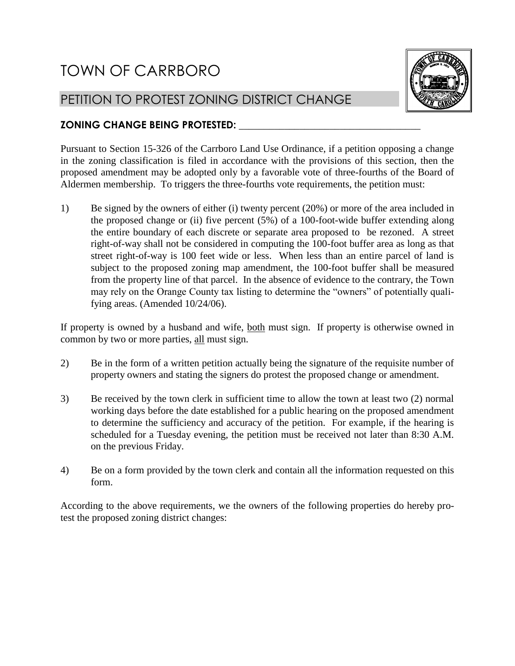## TOWN OF CARRBORO

## PETITION TO PROTEST ZONING DISTRICT CHANGE



## **ZONING CHANGE BEING PROTESTED: \_\_\_\_\_\_\_\_\_\_\_\_\_\_\_\_\_\_\_\_\_\_\_\_\_\_\_\_\_\_\_\_\_\_\_\_**

Pursuant to Section 15-326 of the Carrboro Land Use Ordinance, if a petition opposing a change in the zoning classification is filed in accordance with the provisions of this section, then the proposed amendment may be adopted only by a favorable vote of three-fourths of the Board of Aldermen membership. To triggers the three-fourths vote requirements, the petition must:

1) Be signed by the owners of either (i) twenty percent (20%) or more of the area included in the proposed change or (ii) five percent (5%) of a 100-foot-wide buffer extending along the entire boundary of each discrete or separate area proposed to be rezoned. A street right-of-way shall not be considered in computing the 100-foot buffer area as long as that street right-of-way is 100 feet wide or less. When less than an entire parcel of land is subject to the proposed zoning map amendment, the 100-foot buffer shall be measured from the property line of that parcel. In the absence of evidence to the contrary, the Town may rely on the Orange County tax listing to determine the "owners" of potentially qualifying areas. (Amended 10/24/06).

If property is owned by a husband and wife, both must sign. If property is otherwise owned in common by two or more parties, all must sign.

- 2) Be in the form of a written petition actually being the signature of the requisite number of property owners and stating the signers do protest the proposed change or amendment.
- 3) Be received by the town clerk in sufficient time to allow the town at least two (2) normal working days before the date established for a public hearing on the proposed amendment to determine the sufficiency and accuracy of the petition. For example, if the hearing is scheduled for a Tuesday evening, the petition must be received not later than 8:30 A.M. on the previous Friday.
- 4) Be on a form provided by the town clerk and contain all the information requested on this form.

According to the above requirements, we the owners of the following properties do hereby protest the proposed zoning district changes: